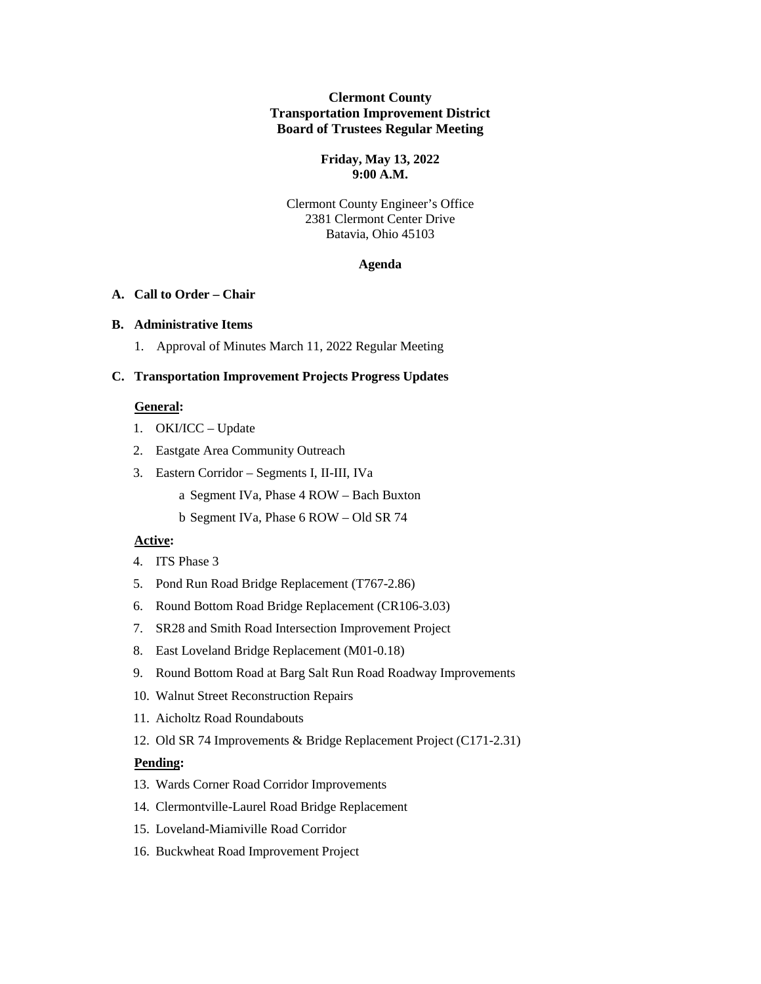## **Clermont County Transportation Improvement District Board of Trustees Regular Meeting**

### **Friday, May 13, 2022 9:00 A.M.**

## Clermont County Engineer's Office 2381 Clermont Center Drive Batavia, Ohio 45103

#### **Agenda**

# **A. Call to Order – Chair**

### **B. Administrative Items**

1. Approval of Minutes March 11, 2022 Regular Meeting

## **C. Transportation Improvement Projects Progress Updates**

# **General:**

- 1. OKI/ICC Update
- 2. Eastgate Area Community Outreach
- 3. Eastern Corridor Segments I, II-III, IVa
	- a Segment IVa, Phase 4 ROW Bach Buxton
	- b Segment IVa, Phase 6 ROW Old SR 74

## **Active:**

- 4. ITS Phase 3
- 5. Pond Run Road Bridge Replacement (T767-2.86)
- 6. Round Bottom Road Bridge Replacement (CR106-3.03)
- 7. SR28 and Smith Road Intersection Improvement Project
- 8. East Loveland Bridge Replacement (M01-0.18)
- 9. Round Bottom Road at Barg Salt Run Road Roadway Improvements
- 10. Walnut Street Reconstruction Repairs
- 11. Aicholtz Road Roundabouts
- 12. Old SR 74 Improvements & Bridge Replacement Project (C171-2.31)

### **Pending:**

- 13. Wards Corner Road Corridor Improvements
- 14. Clermontville-Laurel Road Bridge Replacement
- 15. Loveland-Miamiville Road Corridor
- 16. Buckwheat Road Improvement Project